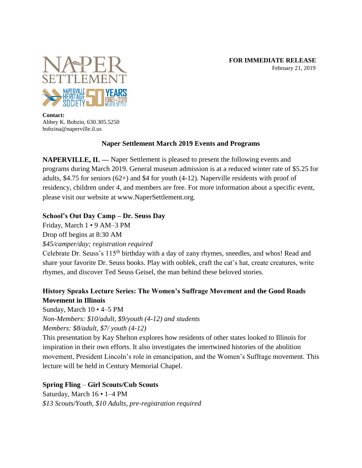

**Contact:** Abbey K. Bobzin, 630.305.5250 bobzina@naperville.il.us

# **Naper Settlement March 2019 Events and Programs**

**NAPERVILLE, IL —** Naper Settlement is pleased to present the following events and programs during March 2019. General museum admission is at a reduced winter rate of \$5.25 for adults, \$4.75 for seniors (62+) and \$4 for youth (4-12). Naperville residents with proof of residency, children under 4, and members are free. For more information about a specific event, please visit our website at www.NaperSettlement.org.

### **School's Out Day Camp – Dr. Seuss Day**

Friday, March 1 • 9 AM–3 PM

Drop off begins at 8:30 AM

*\$45/camper/day; registration required*

Celebrate Dr. Seuss's 115<sup>th</sup> birthday with a day of zany rhymes, sneedles, and whos! Read and share your favorite Dr. Seuss books. Play with ooblek, craft the cat's hat, create creatures, write rhymes, and discover Ted Seuss Geisel, the man behind these beloved stories.

# **History Speaks Lecture Series: The Women's Suffrage Movement and the Good Roads Movement in Illinois**

Sunday, March 10 • 4–5 PM

*Non-Members: \$10/adult, \$9/youth (4-12) and students Members: \$8/adult, \$7/ youth (4-12)*

This presentation by Kay Shelton explores how residents of other states looked to Illinois for inspiration in their own efforts. It also investigates the intertwined histories of the abolition movement, President Lincoln's role in emancipation, and the Women's Suffrage movement. This lecture will be held in Century Memorial Chapel.

# **Spring Fling** – **Girl Scouts/Cub Scouts**

Saturday, March 16 • 1–4 PM *\$13 Scouts/Youth, \$10 Adults, pre-registration required*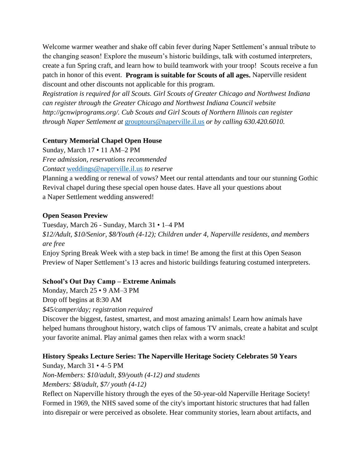Welcome warmer weather and shake off cabin fever during Naper Settlement's annual tribute to the changing season! Explore the museum's historic buildings, talk with costumed interpreters, create a fun Spring craft, and learn how to build teamwork with your troop! Scouts receive a fun patch in honor of this event. **Program is suitable for Scouts of all ages.** Naperville resident discount and other discounts not applicable for this program.

*Registration is required for all Scouts. Girl Scouts of Greater Chicago and Northwest Indiana can register through the Greater Chicago and Northwest Indiana Council website http://gcnwiprograms.org/. Cub Scouts and Girl Scouts of Northern Illinois can register through Naper Settlement at* [grouptours@naperville.il.us](mailto:grouptours@naperville.il.us) *or by calling 630.420.6010.*

#### **Century Memorial Chapel Open House**

Sunday, March 17 • 11 AM–2 PM *Free admission, reservations recommended Contact* [weddings@naperville.il.us](mailto:weddings@naperville.il.us) *to reserve*

Planning a wedding or renewal of vows? Meet our rental attendants and tour our stunning Gothic Revival chapel during these special open house dates. Have all your questions about a Naper Settlement wedding answered!

### **Open Season Preview**

Tuesday, March 26 - Sunday, March 31 • 1–4 PM *\$12/Adult, \$10/Senior, \$8/Youth (4-12); Children under 4, Naperville residents, and members are free* Enjoy Spring Break Week with a step back in time! Be among the first at this Open Season Preview of Naper Settlement's 13 acres and historic buildings featuring costumed interpreters.

# **School's Out Day Camp – Extreme Animals**

Monday, March 25 • 9 AM–3 PM Drop off begins at 8:30 AM *\$45/camper/day; registration required*

Discover the biggest, fastest, smartest, and most amazing animals! Learn how animals have helped humans throughout history, watch clips of famous TV animals, create a habitat and sculpt your favorite animal. Play animal games then relax with a worm snack!

# **History Speaks Lecture Series: The Naperville Heritage Society Celebrates 50 Years**

Sunday, March 31 • 4–5 PM *Non-Members: \$10/adult, \$9/youth (4-12) and students Members: \$8/adult, \$7/ youth (4-12)*

Reflect on Naperville history through the eyes of the 50-year-old Naperville Heritage Society! Formed in 1969, the NHS saved some of the city's important historic structures that had fallen into disrepair or were perceived as obsolete. Hear community stories, learn about artifacts, and